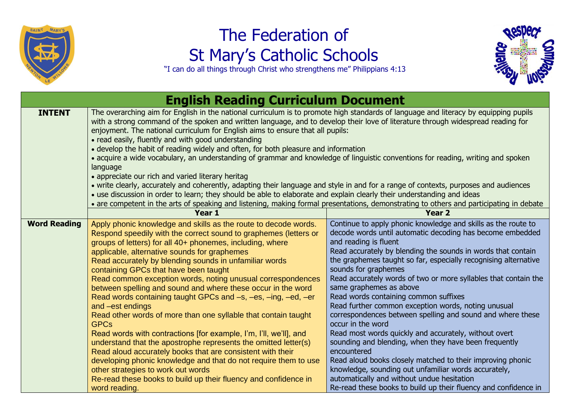

## The Federation of St Mary's Catholic Schools



"I can do all things through Christ who strengthens me" Philippians 4:13

| <b>English Reading Curriculum Document</b> |                                                                                                                                                                                                                                                                                                                                                                                                                                                                                                                                                                                                                                                                                                                                                                                                                                                                                                                                                                                                                                                                                                                           |                                                                                                                                                                                                                                                                                                                                                                                                                                                                                                                                                                                                                                                                                                                                                                                                                                                                                                                                                                         |  |
|--------------------------------------------|---------------------------------------------------------------------------------------------------------------------------------------------------------------------------------------------------------------------------------------------------------------------------------------------------------------------------------------------------------------------------------------------------------------------------------------------------------------------------------------------------------------------------------------------------------------------------------------------------------------------------------------------------------------------------------------------------------------------------------------------------------------------------------------------------------------------------------------------------------------------------------------------------------------------------------------------------------------------------------------------------------------------------------------------------------------------------------------------------------------------------|-------------------------------------------------------------------------------------------------------------------------------------------------------------------------------------------------------------------------------------------------------------------------------------------------------------------------------------------------------------------------------------------------------------------------------------------------------------------------------------------------------------------------------------------------------------------------------------------------------------------------------------------------------------------------------------------------------------------------------------------------------------------------------------------------------------------------------------------------------------------------------------------------------------------------------------------------------------------------|--|
| <b>INTENT</b>                              | The overarching aim for English in the national curriculum is to promote high standards of language and literacy by equipping pupils<br>with a strong command of the spoken and written language, and to develop their love of literature through widespread reading for<br>enjoyment. The national curriculum for English aims to ensure that all pupils:<br>• read easily, fluently and with good understanding<br>• develop the habit of reading widely and often, for both pleasure and information<br>• acquire a wide vocabulary, an understanding of grammar and knowledge of linguistic conventions for reading, writing and spoken<br>language<br>• appreciate our rich and varied literary heritag<br>• write clearly, accurately and coherently, adapting their language and style in and for a range of contexts, purposes and audiences<br>• use discussion in order to learn; they should be able to elaborate and explain clearly their understanding and ideas<br>• are competent in the arts of speaking and listening, making formal presentations, demonstrating to others and participating in debate |                                                                                                                                                                                                                                                                                                                                                                                                                                                                                                                                                                                                                                                                                                                                                                                                                                                                                                                                                                         |  |
|                                            | Year 1                                                                                                                                                                                                                                                                                                                                                                                                                                                                                                                                                                                                                                                                                                                                                                                                                                                                                                                                                                                                                                                                                                                    | <b>Year 2</b>                                                                                                                                                                                                                                                                                                                                                                                                                                                                                                                                                                                                                                                                                                                                                                                                                                                                                                                                                           |  |
| <b>Word Reading</b>                        | Apply phonic knowledge and skills as the route to decode words.<br>Respond speedily with the correct sound to graphemes (letters or<br>groups of letters) for all 40+ phonemes, including, where<br>applicable, alternative sounds for graphemes<br>Read accurately by blending sounds in unfamiliar words<br>containing GPCs that have been taught<br>Read common exception words, noting unusual correspondences<br>between spelling and sound and where these occur in the word<br>Read words containing taught GPCs and -s, -es, -ing, -ed, -er<br>and -est endings<br>Read other words of more than one syllable that contain taught<br><b>GPCs</b><br>Read words with contractions [for example, I'm, I'll, we'll], and<br>understand that the apostrophe represents the omitted letter(s)<br>Read aloud accurately books that are consistent with their<br>developing phonic knowledge and that do not require them to use<br>other strategies to work out words<br>Re-read these books to build up their fluency and confidence in<br>word reading.                                                               | Continue to apply phonic knowledge and skills as the route to<br>decode words until automatic decoding has become embedded<br>and reading is fluent<br>Read accurately by blending the sounds in words that contain<br>the graphemes taught so far, especially recognising alternative<br>sounds for graphemes<br>Read accurately words of two or more syllables that contain the<br>same graphemes as above<br>Read words containing common suffixes<br>Read further common exception words, noting unusual<br>correspondences between spelling and sound and where these<br>occur in the word<br>Read most words quickly and accurately, without overt<br>sounding and blending, when they have been frequently<br>encountered<br>Read aloud books closely matched to their improving phonic<br>knowledge, sounding out unfamiliar words accurately,<br>automatically and without undue hesitation<br>Re-read these books to build up their fluency and confidence in |  |